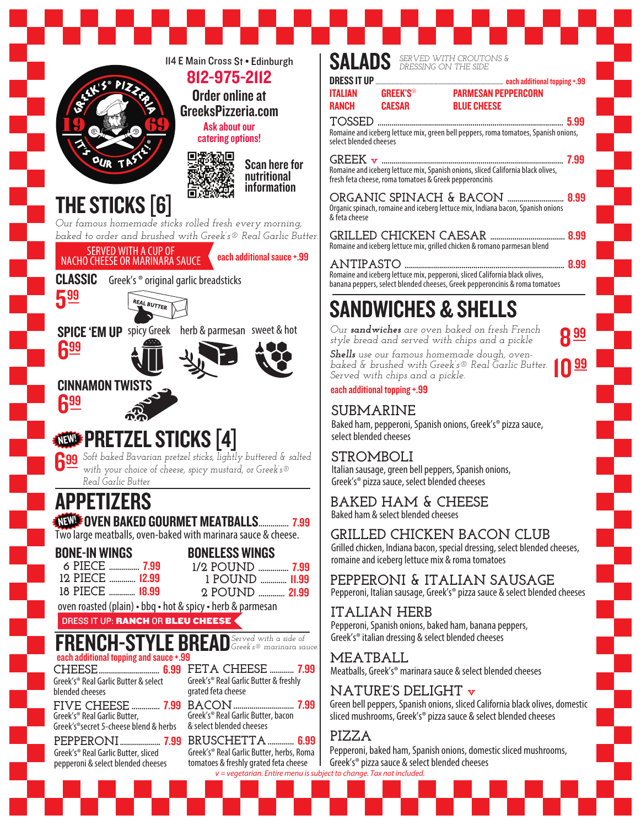

## SANDWICHES & SHELLS fresh feta cheese, roma tomatoes & Greek pepperoncinis **ORGANIC SPINACH & BACON ............................** 8.99 Organic spinach, romaine and iceberg lettuce mix, Indiana bacon, Spanish onions **GRILLED CHICKEN CAESAR .....................................** 8.99 Romaine and iceberg lettuce mix, grilled chicken & romano parmesan blend **ANTIPASTO ...............................................................................** 8.99 Romaine and iceberg lettuce mix, pepperoni, sliced California black olives, banana peppers, select blended cheeses, Greek pepperoncinis & roma tomatoes Baked ham, pepperoni, Spanish onions, Greek's® pizza sauce, Italian sausage, green bell peppers, Spanish onions, Greek's® pizza sauce, select blended cheeses Grilled chicken, Indiana bacon, special dressing, select blended cheeses, romaine and iceberg lettuce mix & roma tomatoes **GRILLED CHICKEN BACON CLUB** Baked ham & select blended cheeses **BAKED HAM & CHEESE** *Our sandwiches are oven baked on fresh French style bread and served with chips and a pickle Shells use our famous homemade dough, ovenbaked & brushed with Greek's® Real Garlic Butter. Served with chips and a pickle.*

PARMESAN PEPPERCORN

8

10

99

Pepperoni, Italian sausage, Greek's® pizza sauce & select blended cheeses **PEPPERONI & ITALIAN SAUSAGE**

## **ITALIAN HERB** Pepperoni, Spanish onions, baked ham, banana peppers, Greek's® italian dressing & select blended cheeses

Meatballs, Greek's® marinara sauce & select blended cheeses

## **NATURE'S DELIGHT v**

Green bell peppers, Spanish onions, sliced California black olives, domestic sliced mushrooms, Greek's® pizza sauce & select blended cheeses

Pepperoni, baked ham, Spanish onions, domestic sliced mushrooms, Greek's® pizza sauce & select blended cheeses